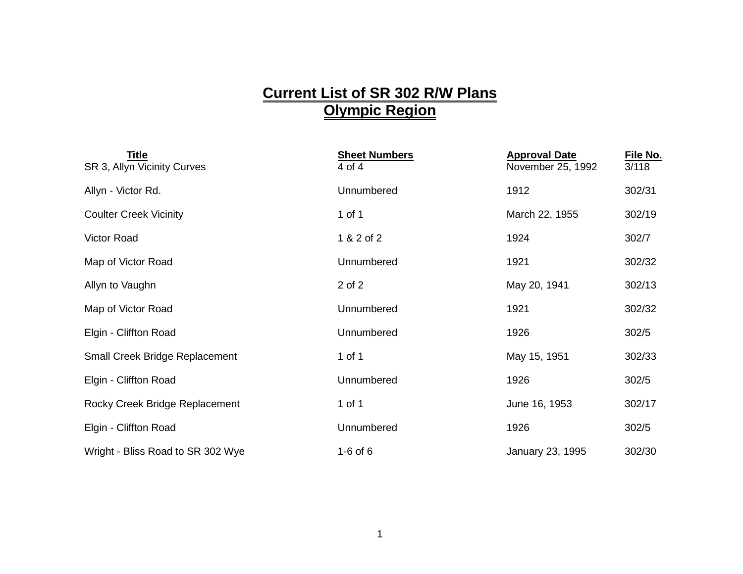## **Current List of SR 302 R/W Plans Olympic Region**

| <b>Title</b><br>SR 3, Allyn Vicinity Curves | <b>Sheet Numbers</b><br>4 of 4 | <b>Approval Date</b><br>November 25, 1992 | File No.<br>3/118 |
|---------------------------------------------|--------------------------------|-------------------------------------------|-------------------|
| Allyn - Victor Rd.                          | Unnumbered                     | 1912                                      | 302/31            |
| <b>Coulter Creek Vicinity</b>               | 1 of 1                         | March 22, 1955                            | 302/19            |
| <b>Victor Road</b>                          | 1 & 2 of 2                     | 1924                                      | 302/7             |
| Map of Victor Road                          | Unnumbered                     | 1921                                      | 302/32            |
| Allyn to Vaughn                             | 2 of 2                         | May 20, 1941                              | 302/13            |
| Map of Victor Road                          | Unnumbered                     | 1921                                      | 302/32            |
| Elgin - Cliffton Road                       | Unnumbered                     | 1926                                      | 302/5             |
| <b>Small Creek Bridge Replacement</b>       | 1 of 1                         | May 15, 1951                              | 302/33            |
| Elgin - Cliffton Road                       | Unnumbered                     | 1926                                      | 302/5             |
| Rocky Creek Bridge Replacement              | 1 of 1                         | June 16, 1953                             | 302/17            |
| Elgin - Cliffton Road                       | Unnumbered                     | 1926                                      | 302/5             |
| Wright - Bliss Road to SR 302 Wye           | $1-6$ of $6$                   | January 23, 1995                          | 302/30            |